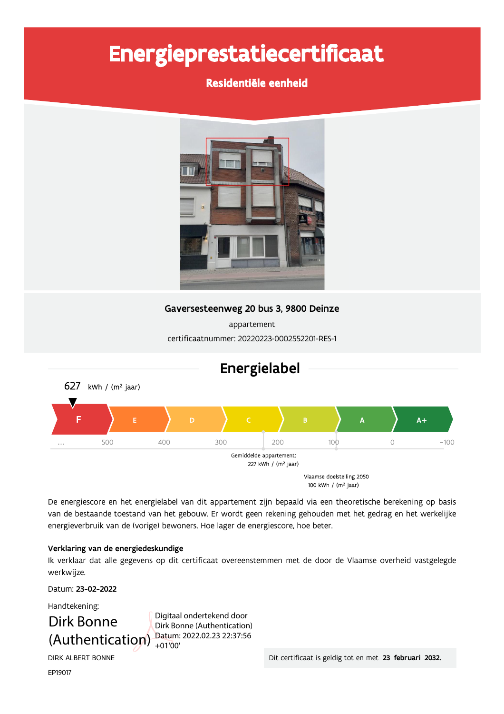# Energieprestatiecertificaat

# Residentiële eenheid



# Gaversesteenweg 20 bus 3, 9800 Deinze

appartement certificaatnummer: 20220223-0002552201-RES-1



De energiescore en het energielabel van dit appartement zijn bepaald via een theoretische berekening op basis van de bestaande toestand van het gebouw. Er wordt geen rekening gehouden met het gedrag en het werkelijke energieverbruik van de (vorige) bewoners. Hoe lager de energiescore, hoe beter.

### Verklaring van de energiedeskundige

Ik verklaar dat alle gegevens op dit certificaat overeenstemmen met de door de Vlaamse overheid vastgelegde werkwijze.

Datum: 23-02-2022

Handtekening:

# Dirk Bonne (Authentication)  $_{+01'00'}^{Datum: 2022.02.23 22:37:56}$

Digitaal ondertekend door Dirk Bonne (Authentication)

**DIRK ALBERT BONNE** 

Dit certificaat is geldig tot en met 23 februari 2032.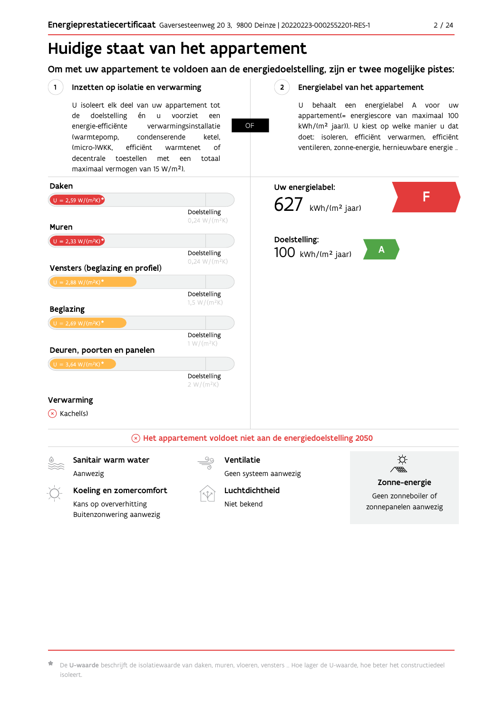# Huidige staat van het appartement

Om met uw appartement te voldoen aan de energiedoelstelling, zijn er twee mogelijke pistes:

OF

 $2^{\circ}$ 

#### $(1)$ Inzetten op isolatie en verwarming

U isoleert elk deel van uw appartement tot doelstelling voorziet de én  $\sf u$ een energie-efficiënte verwarmingsinstallatie (warmtepomp, condenserende ketel, (micro-)WKK. efficiënt warmtenet  $\bigcap_{ }$ decentrale toestellen met een totaal maximaal vermogen van 15 W/m<sup>2</sup>).

### Energielabel van het appartement

U behaalt een energielabel A voor  $\overline{U}$ appartement(= energiescore van maximaal 100 kWh/(m<sup>2</sup> jaar)). U kiest op welke manier u dat doet: isoleren, efficiënt verwarmen, efficiënt ventileren, zonne-energie, hernieuwbare energie ...



De U-waarde beschrijft de isolatiewaarde van daken, muren, vloeren, vensters ... Hoe lager de U-waarde, hoe beter het constructiedeel isoleert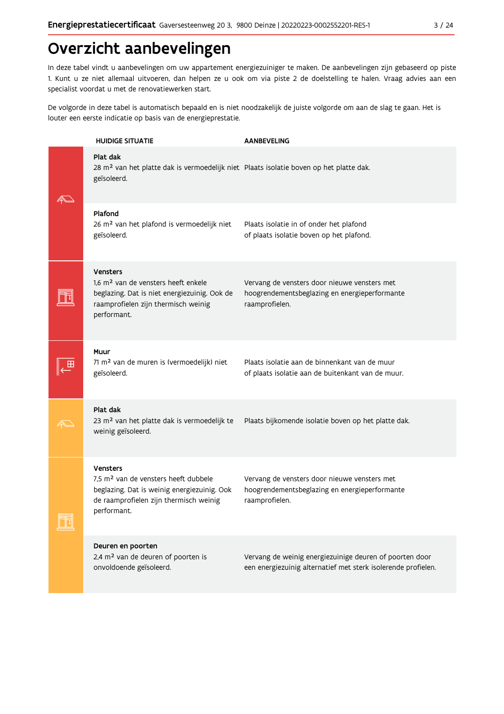# Overzicht aanbevelingen

In deze tabel vindt u aanbevelingen om uw appartement energiezuiniger te maken. De aanbevelingen zijn gebaseerd op piste 1. Kunt u ze niet allemaal uitvoeren, dan helpen ze u ook om via piste 2 de doelstelling te halen. Vraag advies aan een specialist voordat u met de renovatiewerken start.

De volgorde in deze tabel is automatisch bepaald en is niet noodzakelijk de juiste volgorde om aan de slag te gaan. Het is louter een eerste indicatie op basis van de energieprestatie.

|  | <b>HUIDIGE SITUATIE</b>                                                                                                                                                     | <b>AANBEVELING</b>                                                                                                       |
|--|-----------------------------------------------------------------------------------------------------------------------------------------------------------------------------|--------------------------------------------------------------------------------------------------------------------------|
|  | Plat dak<br>28 m <sup>2</sup> van het platte dak is vermoedelijk niet Plaats isolatie boven op het platte dak.<br>geïsoleerd.                                               |                                                                                                                          |
|  | Plafond<br>26 m <sup>2</sup> van het plafond is vermoedelijk niet<br>geïsoleerd.                                                                                            | Plaats isolatie in of onder het plafond<br>of plaats isolatie boven op het plafond.                                      |
|  | <b>Vensters</b><br>1,6 m <sup>2</sup> van de vensters heeft enkele<br>beglazing. Dat is niet energiezuinig. Ook de<br>raamprofielen zijn thermisch weinig<br>performant.    | Vervang de vensters door nieuwe vensters met<br>hoogrendementsbeglazing en energieperformante<br>raamprofielen.          |
|  | Muur<br>71 m <sup>2</sup> van de muren is (vermoedelijk) niet<br>geïsoleerd.                                                                                                | Plaats isolatie aan de binnenkant van de muur<br>of plaats isolatie aan de buitenkant van de muur.                       |
|  | Plat dak<br>23 m <sup>2</sup> van het platte dak is vermoedelijk te<br>weinig geïsoleerd.                                                                                   | Plaats bijkomende isolatie boven op het platte dak.                                                                      |
|  | <b>Vensters</b><br>7,5 m <sup>2</sup> van de vensters heeft dubbele<br>beglazing. Dat is weinig energiezuinig. Ook<br>de raamprofielen zijn thermisch weinig<br>performant. | Vervang de vensters door nieuwe vensters met<br>hoogrendementsbeglazing en energieperformante<br>raamprofielen.          |
|  | Deuren en poorten<br>2,4 m <sup>2</sup> van de deuren of poorten is<br>onvoldoende geïsoleerd.                                                                              | Vervang de weinig energiezuinige deuren of poorten door<br>een energiezuinig alternatief met sterk isolerende profielen. |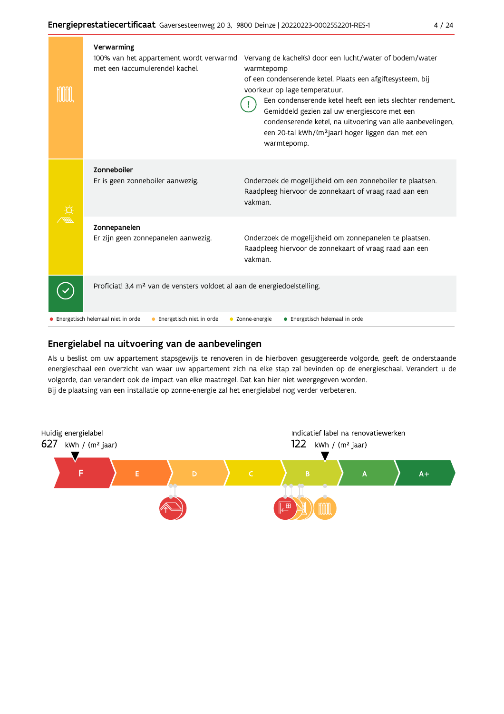|  | Verwarming<br>100% van het appartement wordt verwarmd<br>met een (accumulerende) kachel. | Vervang de kachel(s) door een lucht/water of bodem/water<br>warmtepomp<br>of een condenserende ketel. Plaats een afgiftesysteem, bij<br>voorkeur op lage temperatuur.<br>Een condenserende ketel heeft een iets slechter rendement.<br>Gemiddeld gezien zal uw energiescore met een<br>condenserende ketel, na uitvoering van alle aanbevelingen,<br>een 20-tal kWh/(m <sup>2</sup> jaar) hoger liggen dan met een<br>warmtepomp. |
|--|------------------------------------------------------------------------------------------|-----------------------------------------------------------------------------------------------------------------------------------------------------------------------------------------------------------------------------------------------------------------------------------------------------------------------------------------------------------------------------------------------------------------------------------|
|  | Zonneboiler<br>Er is geen zonneboiler aanwezig.                                          | Onderzoek de mogelijkheid om een zonneboiler te plaatsen.<br>Raadpleeg hiervoor de zonnekaart of vraag raad aan een<br>vakman.                                                                                                                                                                                                                                                                                                    |
|  | Zonnepanelen<br>Er zijn geen zonnepanelen aanwezig.                                      | Onderzoek de mogelijkheid om zonnepanelen te plaatsen.<br>Raadpleeg hiervoor de zonnekaart of vraag raad aan een<br>vakman.                                                                                                                                                                                                                                                                                                       |
|  | Proficiat! 3,4 m <sup>2</sup> van de vensters voldoet al aan de energiedoelstelling.     |                                                                                                                                                                                                                                                                                                                                                                                                                                   |
|  | Energetisch helemaal niet in orde<br>Energetisch niet in orde                            | Energetisch helemaal in orde<br>Zonne-energie                                                                                                                                                                                                                                                                                                                                                                                     |

# Energielabel na uitvoering van de aanbevelingen

Als u beslist om uw appartement stapsgewijs te renoveren in de hierboven gesuggereerde volgorde, geeft de onderstaande energieschaal een overzicht van waar uw appartement zich na elke stap zal bevinden op de energieschaal. Verandert u de volgorde, dan verandert ook de impact van elke maatregel. Dat kan hier niet weergegeven worden. Bij de plaatsing van een installatie op zonne-energie zal het energielabel nog verder verbeteren.

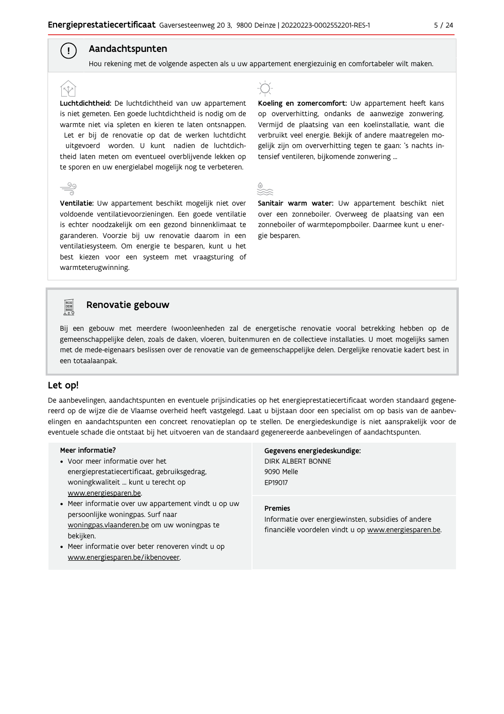# Aandachtspunten

 $\left( \begin{array}{c} 1 \end{array} \right)$ 

Hou rekening met de volgende aspecten als u uw appartement energiezuinig en comfortabeler wilt maken.

Luchtdichtheid: De luchtdichtheid van uw appartement is niet gemeten. Een goede luchtdichtheid is nodig om de warmte niet via spleten en kieren te laten ontsnappen. Let er bij de renovatie op dat de werken luchtdicht uitgevoerd worden. U kunt nadien de luchtdichtheid laten meten om eventueel overblijvende lekken op te sporen en uw energielabel mogelijk nog te verbeteren.

Ventilatie: Uw appartement beschikt mogelijk niet over voldoende ventilatievoorzieningen. Een goede ventilatie is echter noodzakelijk om een gezond binnenklimaat te garanderen. Voorzie bij uw renovatie daarom in een ventilatiesysteem. Om energie te besparen, kunt u het best kiezen voor een systeem met vraagsturing of warmteterugwinning.



Koeling en zomercomfort: Uw appartement heeft kans op oververhitting, ondanks de aanwezige zonwering. Vermijd de plaatsing van een koelinstallatie, want die verbruikt veel energie. Bekijk of andere maatregelen mogelijk zijn om oververhitting tegen te gaan: 's nachts intensief ventileren, bijkomende zonwering ...



Sanitair warm water: Uw appartement beschikt niet over een zonneboiler. Overweeg de plaatsing van een zonneboiler of warmtepompboiler. Daarmee kunt u energie besparen.



### Renovatie gebouw

Bij een gebouw met meerdere (woon)eenheden zal de energetische renovatie vooral betrekking hebben op de gemeenschappelijke delen, zoals de daken, vloeren, buitenmuren en de collectieve installaties. U moet mogelijks samen met de mede-eigenaars beslissen over de renovatie van de gemeenschappelijke delen. Dergelijke renovatie kadert best in een totaalaanpak.

### Let op!

De aanbevelingen, aandachtspunten en eventuele prijsindicaties op het energieprestatiecertificaat worden standaard gegenereerd op de wijze die de Vlaamse overheid heeft vastgelegd. Laat u bijstaan door een specialist om op basis van de aanbevelingen en aandachtspunten een concreet renovatieplan op te stellen. De energiedeskundige is niet aansprakelijk voor de eventuele schade die ontstaat bij het uitvoeren van de standaard gegenereerde aanbevelingen of aandachtspunten.

#### Meer informatie?

- Voor meer informatie over het energieprestatiecertificaat, gebruiksgedrag, woningkwaliteit ... kunt u terecht op www.energiesparen.be.
- Meer informatie over uw appartement vindt u op uw persoonlijke woningpas. Surf naar woningpas.vlaanderen.be om uw woningpas te bekijken.
- Meer informatie over beter renoveren vindt u op www.energiesparen.be/ikbenoveer.

Gegevens energiedeskundige: **DIRK ALBERT BONNE** 9090 Melle EP19017

#### **Premies**

Informatie over energiewinsten, subsidies of andere financiële voordelen vindt u op www.energiesparen.be.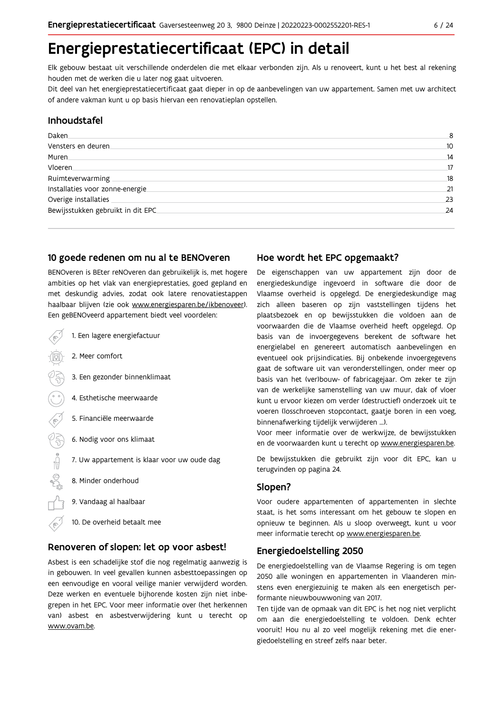# Energieprestatiecertificaat (EPC) in detail

Elk gebouw bestaat uit verschillende onderdelen die met elkaar verbonden zijn. Als u renoveert, kunt u het best al rekening houden met de werken die u later nog gaat uitvoeren.

Dit deel van het energieprestatiecertificaat gaat dieper in op de aanbevelingen van uw appartement. Samen met uw architect of andere vakman kunt u op basis hiervan een renovatieplan opstellen.

# Inhoudstafel

| Daken.                             | 8  |
|------------------------------------|----|
| Vensters en deuren                 | 10 |
| Muren.                             | 14 |
| Vloeren                            | 17 |
| Ruimteverwarming                   | 18 |
| Installaties voor zonne-energie.   | 21 |
| Overige installaties               | 23 |
| Bewijsstukken gebruikt in dit EPC. | 24 |
|                                    |    |

### 10 goede redenen om nu al te BENOveren

BENOveren is BEter reNOveren dan gebruikelijk is, met hogere ambities op het vlak van energieprestaties, goed gepland en met deskundig advies, zodat ook latere renovatiestappen haalbaar blijven (zie ook www.energiesparen.be/ikbenoveer). Een geBENOveerd appartement biedt veel voordelen:

|   | 1. Een lagere energiefactuur                |
|---|---------------------------------------------|
|   | 2. Meer comfort                             |
|   | 3. Een gezonder binnenklimaat               |
|   | 4. Esthetische meerwaarde                   |
| π | 5. Financiële meerwaarde                    |
|   | 6. Nodig voor ons klimaat                   |
|   | 7. Uw appartement is klaar voor uw oude dag |
|   | 8. Minder onderhoud                         |
|   | 9. Vandaag al haalbaar                      |
|   | 10. De overheid betaalt mee                 |

### Renoveren of slopen: let op voor asbest!

Asbest is een schadelijke stof die nog regelmatig aanwezig is in gebouwen. In veel gevallen kunnen asbesttoepassingen op een eenvoudige en vooral veilige manier verwijderd worden. Deze werken en eventuele bijhorende kosten zijn niet inbegrepen in het EPC. Voor meer informatie over (het herkennen van) asbest en asbestverwijdering kunt u terecht op www.ovam.be.

# Hoe wordt het EPC opgemaakt?

De eigenschappen van uw appartement zijn door de energiedeskundige ingevoerd in software die door de Vlaamse overheid is opgelegd. De energiedeskundige mag zich alleen baseren op zijn vaststellingen tijdens het plaatsbezoek en op bewijsstukken die voldoen aan de voorwaarden die de Vlaamse overheid heeft opgelegd. Op basis van de invoergegevens berekent de software het energielabel en genereert automatisch aanbevelingen en eventueel ook prijsindicaties. Bij onbekende invoergegevens gaat de software uit van veronderstellingen, onder meer op basis van het (ver)bouw- of fabricagejaar. Om zeker te zijn van de werkelijke samenstelling van uw muur, dak of vloer kunt u ervoor kiezen om verder (destructief) onderzoek uit te voeren (losschroeven stopcontact, gaatje boren in een voeg, binnenafwerking tijdelijk verwijderen ...).

Voor meer informatie over de werkwijze, de bewijsstukken en de voorwaarden kunt u terecht op www.energiesparen.be.

De bewijsstukken die gebruikt zijn voor dit EPC, kan u terugvinden op pagina 24.

### Slopen?

Voor oudere appartementen of appartementen in slechte staat, is het soms interessant om het gebouw te slopen en opnieuw te beginnen. Als u sloop overweegt, kunt u voor meer informatie terecht op www.energiesparen.be.

### **Energiedoelstelling 2050**

De energiedoelstelling van de Vlaamse Regering is om tegen 2050 alle woningen en appartementen in Vlaanderen minstens even energiezuinig te maken als een energetisch performante nieuwbouwwoning van 2017.

Ten tijde van de opmaak van dit EPC is het nog niet verplicht om aan die energiedoelstelling te voldoen. Denk echter vooruit! Hou nu al zo veel mogelijk rekening met die energiedoelstelling en streef zelfs naar beter.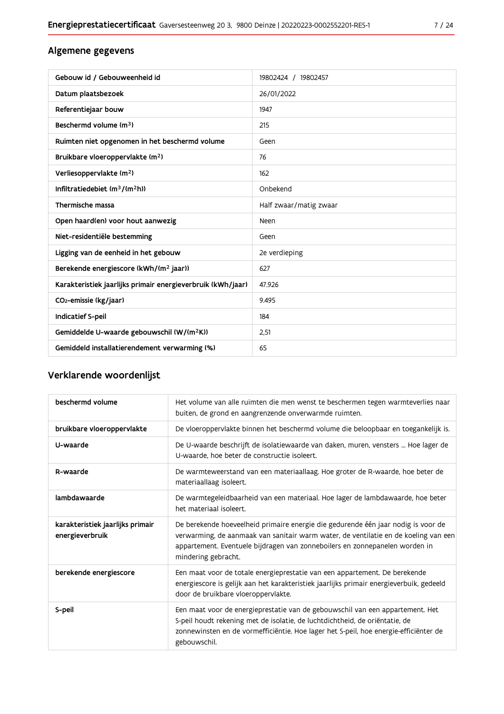# Algemene gegevens

| Gebouw id / Gebouweenheid id                                | 19802424 / 19802457    |
|-------------------------------------------------------------|------------------------|
| Datum plaatsbezoek                                          | 26/01/2022             |
| Referentiejaar bouw                                         | 1947                   |
| Beschermd volume (m <sup>3</sup> )                          | 215                    |
| Ruimten niet opgenomen in het beschermd volume              | Geen                   |
| Bruikbare vloeroppervlakte (m <sup>2</sup> )                | 76                     |
| Verliesoppervlakte (m <sup>2</sup> )                        | 162                    |
| Infiltratiedebiet $(m^3/(m^2h))$                            | Onbekend               |
| Thermische massa                                            | Half zwaar/matig zwaar |
| Open haard(en) voor hout aanwezig                           | Neen                   |
| Niet-residentiële bestemming                                | Geen                   |
| Ligging van de eenheid in het gebouw                        | 2e verdieping          |
| Berekende energiescore (kWh/(m <sup>2</sup> jaar))          | 627                    |
| Karakteristiek jaarlijks primair energieverbruik (kWh/jaar) | 47.926                 |
| CO <sub>2</sub> -emissie (kg/jaar)                          | 9.495                  |
| Indicatief S-peil                                           | 184                    |
| Gemiddelde U-waarde gebouwschil (W/(m <sup>2</sup> K))      | 2,51                   |
| Gemiddeld installatierendement verwarming (%)               | 65                     |

# Verklarende woordenlijst

| beschermd volume                                    | Het volume van alle ruimten die men wenst te beschermen tegen warmteverlies naar<br>buiten, de grond en aangrenzende onverwarmde ruimten.                                                                                                                                      |
|-----------------------------------------------------|--------------------------------------------------------------------------------------------------------------------------------------------------------------------------------------------------------------------------------------------------------------------------------|
| bruikbare vloeroppervlakte                          | De vloeroppervlakte binnen het beschermd volume die beloopbaar en toegankelijk is.                                                                                                                                                                                             |
| U-waarde                                            | De U-waarde beschrijft de isolatiewaarde van daken, muren, vensters  Hoe lager de<br>U-waarde, hoe beter de constructie isoleert.                                                                                                                                              |
| R-waarde                                            | De warmteweerstand van een materiaallaag. Hoe groter de R-waarde, hoe beter de<br>materiaallaag isoleert.                                                                                                                                                                      |
| lambdawaarde                                        | De warmtegeleidbaarheid van een materiaal. Hoe lager de lambdawaarde, hoe beter<br>het materiaal isoleert.                                                                                                                                                                     |
| karakteristiek jaarlijks primair<br>energieverbruik | De berekende hoeveelheid primaire energie die gedurende één jaar nodig is voor de<br>verwarming, de aanmaak van sanitair warm water, de ventilatie en de koeling van een<br>appartement. Eventuele bijdragen van zonneboilers en zonnepanelen worden in<br>mindering gebracht. |
| berekende energiescore                              | Een maat voor de totale energieprestatie van een appartement. De berekende<br>energiescore is gelijk aan het karakteristiek jaarlijks primair energieverbuik, gedeeld<br>door de bruikbare vloeroppervlakte.                                                                   |
| S-peil                                              | Een maat voor de energieprestatie van de gebouwschil van een appartement. Het<br>S-peil houdt rekening met de isolatie, de luchtdichtheid, de oriëntatie, de<br>zonnewinsten en de vormefficiëntie. Hoe lager het S-peil, hoe energie-efficiënter de<br>gebouwschil.           |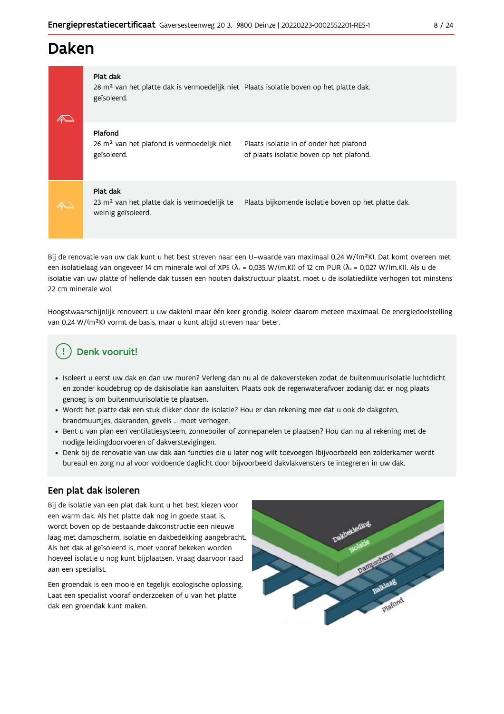# **Daken**

 $\triangle$ 

#### Plat dak

28 m<sup>2</sup> van het platte dak is vermoedelijk niet Plaats isolatie boven op het platte dak. geïsoleerd.

### Plafond

26 m<sup>2</sup> van het plafond is vermoedelijk niet geïsoleerd.

Plaats isolatie in of onder het plafond of plaats isolatie boven op het plafond.

# Plat dak

23 m<sup>2</sup> van het platte dak is vermoedelijk te Plaats bijkomende isolatie boven op het platte dak. weinig geïsoleerd.

Bij de renovatie van uw dak kunt u het best streven naar een U-waarde van maximaal 0.24 W/(m<sup>2</sup>K). Dat komt overeen met een isolatielaag van ongeveer 14 cm minerale wol of XPS ( $\lambda_d$  = 0,035 W/(m.K)) of 12 cm PUR ( $\lambda_d$  = 0,027 W/(m.K)). Als u de isolatie van uw platte of hellende dak tussen een houten dakstructuur plaatst, moet u de isolatiedikte verhogen tot minstens 22 cm minerale wol.

Hoogstwaarschijnlijk renoveert u uw dak(en) maar één keer grondig. Isoleer daarom meteen maximaal. De energiedoelstelling van 0,24 W/(m<sup>2</sup>K) vormt de basis, maar u kunt altijd streven naar beter.

# Denk vooruit!

- · Isoleert u eerst uw dak en dan uw muren? Verleng dan nu al de dakoversteken zodat de buitenmuurisolatie luchtdicht en zonder koudebrug op de dakisolatie kan aansluiten. Plaats ook de regenwaterafvoer zodanig dat er nog plaats genoeg is om buitenmuurisolatie te plaatsen.
- · Wordt het platte dak een stuk dikker door de isolatie? Hou er dan rekening mee dat u ook de dakgoten, brandmuurtjes, dakranden, gevels ... moet verhogen.
- · Bent u van plan een ventilatiesysteem, zonneboiler of zonnepanelen te plaatsen? Hou dan nu al rekening met de nodige leidingdoorvoeren of dakverstevigingen.
- · Denk bij de renovatie van uw dak aan functies die u later nog wilt toevoegen (bijvoorbeeld een zolderkamer wordt bureau) en zorg nu al voor voldoende daglicht door bijvoorbeeld dakvlakvensters te integreren in uw dak.

# Een plat dak isoleren

Bij de isolatie van een plat dak kunt u het best kiezen voor een warm dak. Als het platte dak nog in goede staat is, wordt boven op de bestaande dakconstructie een nieuwe laag met dampscherm, isolatie en dakbedekking aangebracht. Als het dak al geïsoleerd is, moet vooraf bekeken worden hoeveel isolatie u nog kunt bijplaatsen. Vraag daarvoor raad aan een specialist.

Een groendak is een mooie en tegelijk ecologische oplossing. Laat een specialist vooraf onderzoeken of u van het platte dak een groendak kunt maken.

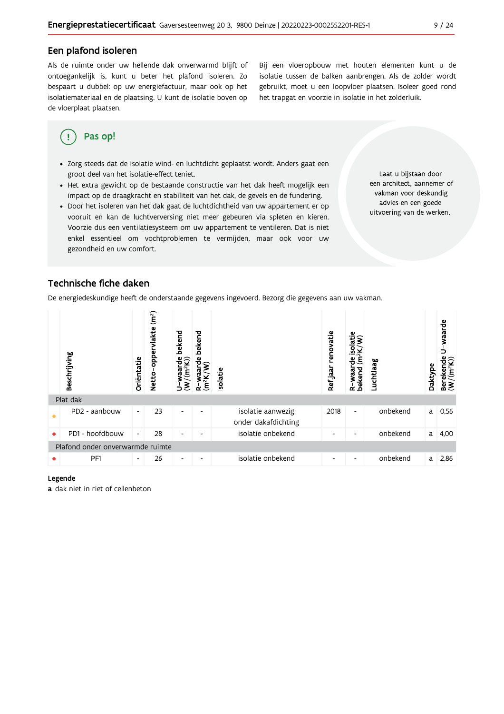### Een plafond isoleren

Als de ruimte onder uw hellende dak onverwarmd blijft of ontoegankelijk is, kunt u beter het plafond isoleren. Zo bespaart u dubbel: op uw energiefactuur, maar ook op het isolatiemateriaal en de plaatsing. U kunt de isolatie boven op de vloerplaat plaatsen.

Bij een vloeropbouw met houten elementen kunt u de isolatie tussen de balken aanbrengen. Als de zolder wordt gebruikt, moet u een loopvloer plaatsen. Isoleer goed rond het trapgat en voorzie in isolatie in het zolderluik.

#### Pas op! ( !

- · Zorg steeds dat de isolatie wind- en luchtdicht geplaatst wordt. Anders gaat een groot deel van het isolatie-effect teniet.
- Het extra gewicht op de bestaande constructie van het dak heeft mogelijk een impact op de draagkracht en stabiliteit van het dak, de gevels en de fundering.
- · Door het isoleren van het dak gaat de luchtdichtheid van uw appartement er op vooruit en kan de luchtverversing niet meer gebeuren via spleten en kieren. Voorzie dus een ventilatiesysteem om uw appartement te ventileren. Dat is niet enkel essentieel om vochtproblemen te vermijden, maar ook voor uw gezondheid en uw comfort.

Laat u bijstaan door een architect, aannemer of vakman voor deskundig advies en een goede uitvoering van de werken.

# Technische fiche daken

De energiedeskundige heeft de onderstaande gegevens ingevoerd. Bezorg die gegevens aan uw vakman.

|           | Beschrijving                     | Oriëntatie               | (m <sup>2</sup> )<br>vlakte<br>opper<br><b>Netto</b> | bekend<br>$\frac{w \text{aard}}{(m^2 K)}$<br>$\bar{\bm{\varepsilon}}$<br>⊣ | bekend<br>$\frac{4}{3}$<br>ಗ<br>(m <sup>2</sup> K)<br>$\alpha$ | Isolatie                                 | renovatie<br>Ref jaar    | isolatie<br>$(m^2K)$<br>waarde<br>bekend<br>≃ | Luchtlaag | Daktype | U-waarde<br>Berekende<br>$(W/(m^2K))$ |
|-----------|----------------------------------|--------------------------|------------------------------------------------------|----------------------------------------------------------------------------|----------------------------------------------------------------|------------------------------------------|--------------------------|-----------------------------------------------|-----------|---------|---------------------------------------|
|           | Plat dak                         |                          |                                                      |                                                                            |                                                                |                                          |                          |                                               |           |         |                                       |
| $\bullet$ | PD2 - aanbouw                    | $\overline{\phantom{a}}$ | 23                                                   | $\overline{\phantom{a}}$                                                   | $\overline{\phantom{0}}$                                       | isolatie aanwezig<br>onder dakafdichting | 2018                     | $\blacksquare$                                | onbekend  | a       | 0,56                                  |
| $\bullet$ | PD1 - hoofdbouw                  | $\overline{\phantom{a}}$ | 28                                                   | $\overline{\phantom{a}}$                                                   | $\overline{\phantom{0}}$                                       | isolatie onbekend                        | $\overline{\phantom{0}}$ | ۰                                             | onbekend  | a       | 4,00                                  |
|           | Plafond onder onverwarmde ruimte |                          |                                                      |                                                                            |                                                                |                                          |                          |                                               |           |         |                                       |
| ●         | PF1                              | $\overline{\phantom{a}}$ | 26                                                   | $\overline{\phantom{a}}$                                                   | $\overline{\phantom{a}}$                                       | isolatie onbekend                        | ۰                        | $\overline{\phantom{a}}$                      | onbekend  | a       | 2,86                                  |

#### Legende

a dak niet in riet of cellenbeton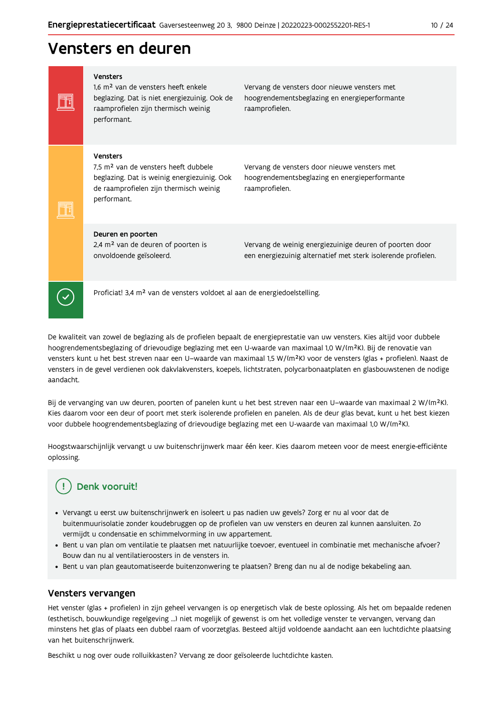### $10/24$

profielen.

# Vensters en deuren

|  | <b>Vensters</b><br>1.6 m <sup>2</sup> van de vensters heeft enkele<br>beglazing. Dat is niet energiezuinig. Ook de<br>raamprofielen zijn thermisch weinig<br>performant. | Vervang de vensters door nieuwe vensters met<br>hoogrendementsbeglazing en energieperformante<br>raamprofielen.        |  |  |  |  |
|--|--------------------------------------------------------------------------------------------------------------------------------------------------------------------------|------------------------------------------------------------------------------------------------------------------------|--|--|--|--|
|  | Vensters<br>7.5 m <sup>2</sup> van de vensters heeft dubbele<br>beglazing. Dat is weinig energiezuinig. Ook<br>de raamprofielen zijn thermisch weinig<br>performant.     | Vervang de vensters door nieuwe vensters met<br>hoogrendementsbeglazing en energieperformante<br>raamprofielen.        |  |  |  |  |
|  | Deuren en poorten<br>2,4 m <sup>2</sup> van de deuren of poorten is<br>onvoldoende geïsoleerd.                                                                           | Vervang de weinig energiezuinige deuren of poorten door<br>een energiezuinig alternatief met sterk isolerende profiele |  |  |  |  |
|  | Proficiat! 3,4 m <sup>2</sup> van de vensters voldoet al aan de energiedoelstelling.                                                                                     |                                                                                                                        |  |  |  |  |

De kwaliteit van zowel de beglazing als de profielen bepaalt de energieprestatie van uw vensters. Kies altijd voor dubbele hoogrendementsbeglazing of drievoudige beglazing met een U-waarde van maximaal 1,0 W/(m<sup>2</sup>K). Bij de renovatie van vensters kunt u het best streven naar een U-waarde van maximaal 1,5 W/(m<sup>2</sup>K) voor de vensters (glas + profielen). Naast de vensters in de gevel verdienen ook dakvlakvensters, koepels, lichtstraten, polycarbonaatplaten en glasbouwstenen de nodige aandacht.

Bij de vervanging van uw deuren, poorten of panelen kunt u het best streven naar een U-waarde van maximaal 2 W/(m<sup>2</sup>K). Kies daarom voor een deur of poort met sterk isolerende profielen en panelen. Als de deur glas bevat, kunt u het best kiezen voor dubbele hoogrendementsbeglazing of drievoudige beglazing met een U-waarde van maximaal 1,0 W/(m<sup>2</sup>K).

Hoogstwaarschijnlijk vervangt u uw buitenschrijnwerk maar één keer. Kies daarom meteen voor de meest energie-efficiënte oplossing.

# Denk vooruit!

- · Vervangt u eerst uw buitenschrijnwerk en isoleert u pas nadien uw gevels? Zorg er nu al voor dat de buitenmuurisolatie zonder koudebruggen op de profielen van uw vensters en deuren zal kunnen aansluiten. Zo vermijdt u condensatie en schimmelvorming in uw appartement.
- Bent u van plan om ventilatie te plaatsen met natuurlijke toevoer, eventueel in combinatie met mechanische afvoer? Bouw dan nu al ventilatieroosters in de vensters in.
- · Bent u van plan geautomatiseerde buitenzonwering te plaatsen? Breng dan nu al de nodige bekabeling aan.

### Vensters vervangen

Het venster (glas + profielen) in zijn geheel vervangen is op energetisch vlak de beste oplossing. Als het om bepaalde redenen (esthetisch, bouwkundige regelgeving ...) niet mogelijk of gewenst is om het volledige venster te vervangen, vervang dan minstens het glas of plaats een dubbel raam of voorzetglas. Besteed altijd voldoende aandacht aan een luchtdichte plaatsing van het buitenschrijnwerk.

Beschikt u nog over oude rolluikkasten? Vervang ze door geïsoleerde luchtdichte kasten.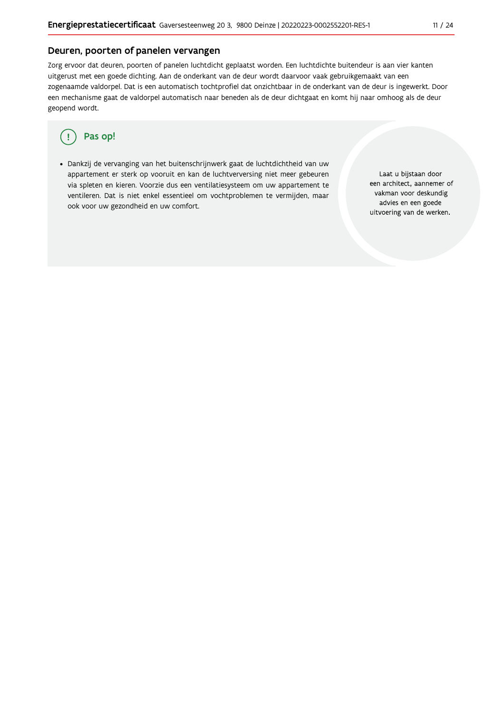# Deuren, poorten of panelen vervangen

Zorg ervoor dat deuren, poorten of panelen luchtdicht geplaatst worden. Een luchtdichte buitendeur is aan vier kanten uitgerust met een goede dichting. Aan de onderkant van de deur wordt daarvoor vaak gebruikgemaakt van een zogenaamde valdorpel. Dat is een automatisch tochtprofiel dat onzichtbaar in de onderkant van de deur is ingewerkt. Door een mechanisme gaat de valdorpel automatisch naar beneden als de deur dichtgaat en komt hij naar omhoog als de deur geopend wordt.

#### Pas op! ( !

· Dankzij de vervanging van het buitenschrijnwerk gaat de luchtdichtheid van uw appartement er sterk op vooruit en kan de luchtverversing niet meer gebeuren via spleten en kieren. Voorzie dus een ventilatiesysteem om uw appartement te ventileren. Dat is niet enkel essentieel om vochtproblemen te vermijden, maar ook voor uw gezondheid en uw comfort.

Laat u bijstaan door een architect, aannemer of vakman voor deskundig advies en een goede uitvoering van de werken.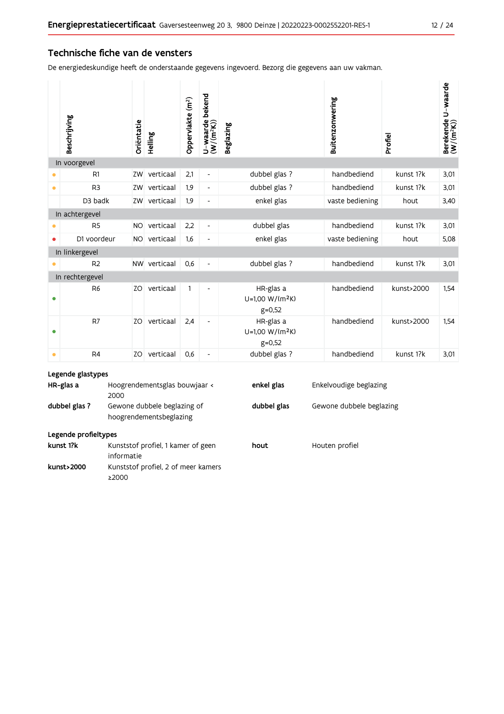# Technische fiche van de vensters

De energiedeskundige heeft de onderstaande gegevens ingevoerd. Bezorg die gegevens aan uw vakman.

|           | Beschrijving    | Oriëntatie | Helling      | Oppervlakte (m <sup>2</sup> ) | bekend<br>$U$ – waarde l $(W/(m^2K))$ | Beglazing                                    | Buitenzonwering | Profiel    | Berekende U-waarde<br>(W/(m <sup>2</sup> K)) |
|-----------|-----------------|------------|--------------|-------------------------------|---------------------------------------|----------------------------------------------|-----------------|------------|----------------------------------------------|
|           | In voorgevel    |            |              |                               |                                       |                                              |                 |            |                                              |
| ٠         | R1              | ZW         | verticaal    | 2,1                           | $\overline{\phantom{a}}$              | dubbel glas ?                                | handbediend     | kunst 1?k  | 3,01                                         |
| $\bullet$ | R <sub>3</sub>  | ZW         | verticaal    | 1,9                           | $\overline{\phantom{a}}$              | dubbel glas ?                                | handbediend     | kunst 1?k  | 3,01                                         |
|           | D3 badk         |            | ZW verticaal | 1,9                           | $\overline{\phantom{a}}$              | enkel glas                                   | vaste bediening | hout       | 3,40                                         |
|           | In achtergevel  |            |              |                               |                                       |                                              |                 |            |                                              |
|           | R <sub>5</sub>  | NO.        | verticaal    | 2,2                           | $\overline{\phantom{a}}$              | dubbel glas                                  | handbediend     | kunst 1?k  | 3,01                                         |
|           | D1 voordeur     | NO.        | verticaal    | 1,6                           | $\overline{a}$                        | enkel glas                                   | vaste bediening | hout       | 5.08                                         |
|           | In linkergevel  |            |              |                               |                                       |                                              |                 |            |                                              |
|           | R <sub>2</sub>  |            | NW verticaal | 0,6                           | ٠                                     | dubbel glas ?                                | handbediend     | kunst 1?k  | 3,01                                         |
|           | In rechtergevel |            |              |                               |                                       |                                              |                 |            |                                              |
| ٠         | R <sub>6</sub>  | ZO         | verticaal    | $\mathbf{1}$                  | $\overline{\phantom{a}}$              | HR-glas a<br>$U=1,00 W/(m^2K)$<br>$g=0,52$   | handbediend     | kunst>2000 | 1,54                                         |
| ٠         | R7              | ZO         | verticaal    | 2,4                           | $\overline{\phantom{a}}$              | HR-glas a<br>$U=1,00 W/(m^2K)$<br>$g = 0,52$ | handbediend     | kunst>2000 | 1,54                                         |
| $\bullet$ | R <sub>4</sub>  | ZO         | verticaal    | 0,6                           | $\overline{\phantom{a}}$              | dubbel glas ?                                | handbediend     | kunst 1?k  | 3,01                                         |

| Legende glastypes    |                                                        |             |                          |  |  |  |  |
|----------------------|--------------------------------------------------------|-------------|--------------------------|--|--|--|--|
| HR-glas a            | Hoogrendementsglas bouwjaar <<br>2000                  | enkel glas  | Enkelvoudige beglazing   |  |  |  |  |
| dubbel glas?         | Gewone dubbele beglazing of<br>hoogrendementsbeglazing | dubbel glas | Gewone dubbele beglazing |  |  |  |  |
| Legende profieltypes |                                                        |             |                          |  |  |  |  |
| kunst 1?k            | Kunststof profiel, 1 kamer of geen<br>informatie       | hout        | Houten profiel           |  |  |  |  |
| kunst>2000           | Kunststof profiel, 2 of meer kamers<br>$\geq$ 2000     |             |                          |  |  |  |  |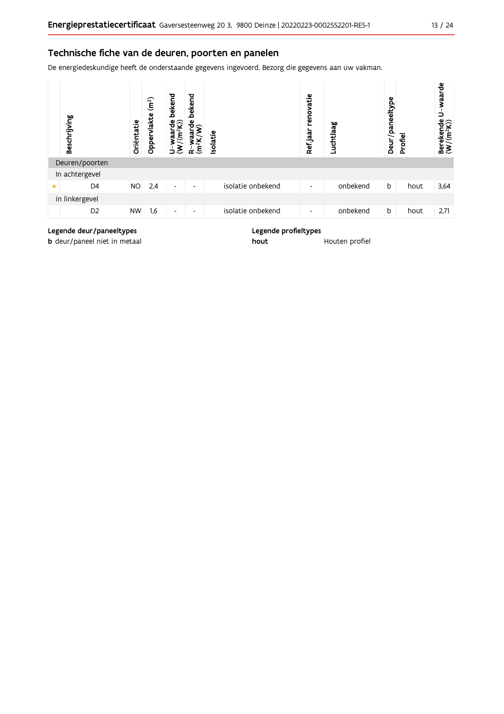# Technische fiche van de deuren, poorten en panelen

De energiedeskundige heeft de onderstaande gegevens ingevoerd. Bezorg die gegevens aan uw vakman.

| Beschrijving   | Oriëntatie | (m <sup>2</sup> )<br>Oppervlakte | bekend<br>$\begin{array}{c} \n\text{aard} \\ \n\text{(m²K)}\n\end{array}$<br>naal | bekend<br>ဦ၄<br>ಗ<br>(m <sup>2</sup> K)<br>ά | <b>Isolatie</b> |                   | renovatie<br>Refjaar | Luchtlaag | Deur/paneeltype | Profiel | U waarde<br>Berekende<br>$(W/(m^2K))$ |
|----------------|------------|----------------------------------|-----------------------------------------------------------------------------------|----------------------------------------------|-----------------|-------------------|----------------------|-----------|-----------------|---------|---------------------------------------|
| Deuren/poorten |            |                                  |                                                                                   |                                              |                 |                   |                      |           |                 |         |                                       |
| In achtergevel |            |                                  |                                                                                   |                                              |                 |                   |                      |           |                 |         |                                       |
| D <sub>4</sub> | <b>NO</b>  | 2,4                              | $\overline{\phantom{a}}$                                                          | $\overline{\phantom{0}}$                     |                 | isolatie onbekend | ٠                    | onbekend  | b               | hout    | 3,64                                  |
| in linkergevel |            |                                  |                                                                                   |                                              |                 |                   |                      |           |                 |         |                                       |
| D <sub>2</sub> | <b>NW</b>  | 1,6                              | ٠                                                                                 | -                                            |                 | isolatie onbekend | ٠                    | onbekend  | b               | hout    | 2,71                                  |

### Legende deur/paneeltypes

**b** deur/paneel niet in metaal

Legende profieltypes

hout

Houten profiel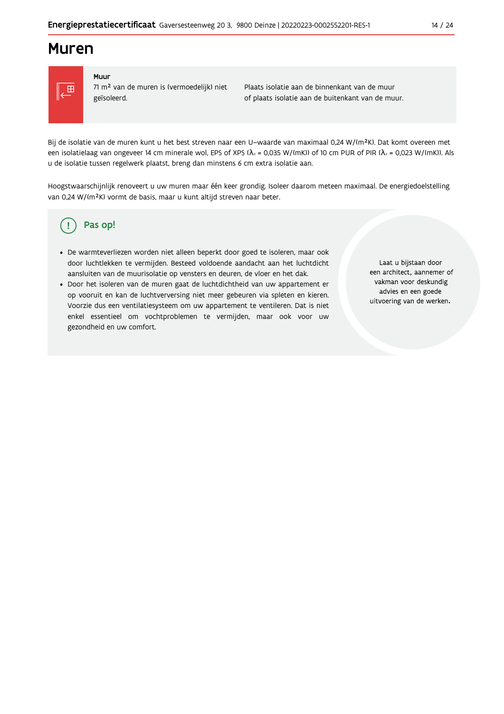# **Muren**



### Muur

71 m<sup>2</sup> van de muren is (vermoedelijk) niet geïsoleerd.

Plaats isolatie aan de binnenkant van de muur of plaats isolatie aan de buitenkant van de muur.

Bij de isolatie van de muren kunt u het best streven naar een U-waarde van maximaal 0,24 W/(m<sup>2</sup>K). Dat komt overeen met een isolatielaag van ongeveer 14 cm minerale wol, EPS of XPS ( $\lambda_a$  = 0,035 W/(mK)) of 10 cm PUR of PIR ( $\lambda_a$  = 0,023 W/(mK)). Als u de isolatie tussen regelwerk plaatst, breng dan minstens 6 cm extra isolatie aan.

Hoogstwaarschijnlijk renoveert u uw muren maar één keer grondig. Isoleer daarom meteen maximaal. De energiedoelstelling van 0,24 W/(m<sup>2</sup>K) vormt de basis, maar u kunt altijd streven naar beter.

#### Pas op! (၂

- · De warmteverliezen worden niet alleen beperkt door goed te isoleren, maar ook door luchtlekken te vermijden. Besteed voldoende aandacht aan het luchtdicht aansluiten van de muurisolatie op vensters en deuren, de vloer en het dak.
- · Door het isoleren van de muren gaat de luchtdichtheid van uw appartement er op vooruit en kan de luchtverversing niet meer gebeuren via spleten en kieren. Voorzie dus een ventilatiesysteem om uw appartement te ventileren. Dat is niet enkel essentieel om vochtproblemen te vermijden, maar ook voor uw gezondheid en uw comfort.

Laat u bijstaan door een architect, aannemer of vakman voor deskundig advies en een goede uitvoering van de werken.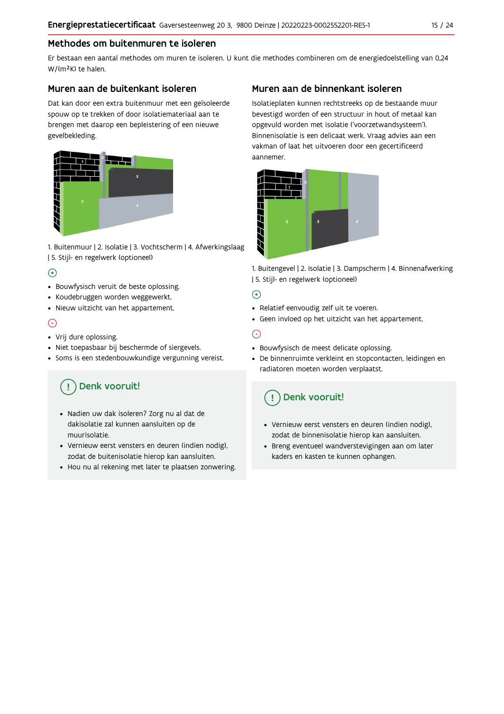# Methodes om buitenmuren te isoleren

Er bestaan een aantal methodes om muren te isoleren. U kunt die methodes combineren om de energiedoelstelling van 0,24 W/(m<sup>2</sup>K) te halen.

# Muren aan de buitenkant isoleren

Dat kan door een extra buitenmuur met een geïsoleerde spouw op te trekken of door isolatiemateriaal aan te brengen met daarop een bepleistering of een nieuwe gevelbekleding.



1. Buitenmuur | 2. Isolatie | 3. Vochtscherm | 4. Afwerkingslaag | 5. Stijl- en regelwerk (optioneel)

# $\bigoplus$

- Bouwfysisch veruit de beste oplossing.
- Koudebruggen worden weggewerkt.
- · Nieuw uitzicht van het appartement.

# $\odot$

- Vrij dure oplossing.
- · Niet toepasbaar bij beschermde of siergevels.
- Soms is een stedenbouwkundige vergunning vereist.

# Denk vooruit!

- · Nadien uw dak isoleren? Zorg nu al dat de dakisolatie zal kunnen aansluiten op de muurisolatie.
- · Vernieuw eerst vensters en deuren (indien nodig), zodat de buitenisolatie hierop kan aansluiten.
- Hou nu al rekening met later te plaatsen zonwering.

# Muren aan de binnenkant isoleren

Isolatieplaten kunnen rechtstreeks op de bestaande muur bevestigd worden of een structuur in hout of metaal kan opgevuld worden met isolatie ('voorzetwandsysteem'). Binnenisolatie is een delicaat werk. Vraag advies aan een vakman of laat het uitvoeren door een gecertificeerd aannemer



1. Buitengevel | 2. Isolatie | 3. Dampscherm | 4. Binnenafwerking | 5. Stijl- en regelwerk (optioneel)

### $\bigoplus$

- Relatief eenvoudig zelf uit te voeren.
- Geen invloed op het uitzicht van het appartement.

# ⊝

- Bouwfysisch de meest delicate oplossing.
- · De binnenruimte verkleint en stopcontacten, leidingen en radiatoren moeten worden verplaatst.

# Denk vooruit!

- Vernieuw eerst vensters en deuren (indien nodig), zodat de binnenisolatie hierop kan aansluiten.
- · Breng eventueel wandverstevigingen aan om later kaders en kasten te kunnen ophangen.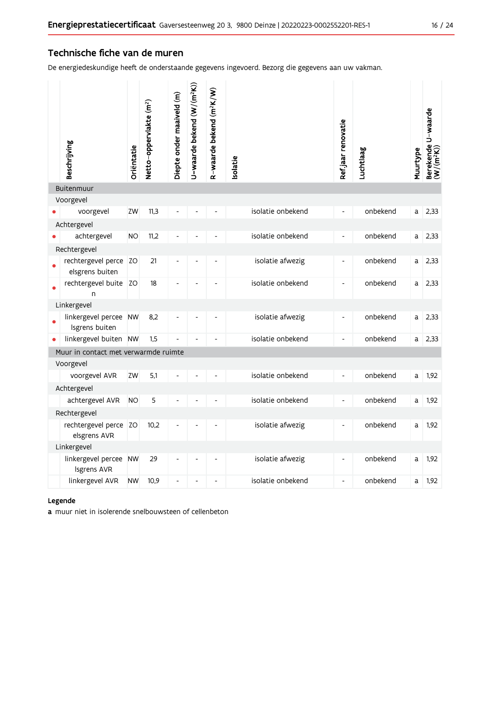### Technische fiche van de muren

De energiedeskundige heeft de onderstaande gegevens ingevoerd. Bezorg die gegevens aan uw vakman.

|           | Beschrijving                            | Oriëntatie | Netto-oppervlakte (m <sup>2</sup> ) | Diepte onder maaiveld (m) | U-waarde bekend (W/(m <sup>2</sup> K)) | R-waarde bekend (m <sup>2</sup> K/W) | <b>Isolatie</b> |                   | Ref jaar renovatie           | Luchtlaag | Muurtype | Berekende U-waarde<br>(W/(m <sup>2</sup> K)) |
|-----------|-----------------------------------------|------------|-------------------------------------|---------------------------|----------------------------------------|--------------------------------------|-----------------|-------------------|------------------------------|-----------|----------|----------------------------------------------|
|           | <b>Buitenmuur</b>                       |            |                                     |                           |                                        |                                      |                 |                   |                              |           |          |                                              |
|           | Voorgevel                               |            |                                     |                           |                                        |                                      |                 |                   |                              |           |          |                                              |
|           | voorgevel                               | ZW         | 11,3                                |                           |                                        |                                      |                 | isolatie onbekend | $\overline{\phantom{a}}$     | onbekend  | a        | 2,33                                         |
|           | Achtergevel                             |            |                                     |                           |                                        |                                      |                 |                   |                              |           |          |                                              |
|           | achtergevel                             | <b>NO</b>  | 11,2                                |                           |                                        |                                      |                 | isolatie onbekend | $\overline{\phantom{a}}$     | onbekend  | a        | 2,33                                         |
|           | Rechtergevel<br>rechtergevel perce ZO   |            | 21                                  |                           |                                        |                                      |                 | isolatie afwezig  | $\blacksquare$               | onbekend  | a        | 2,33                                         |
|           | elsgrens buiten                         |            |                                     |                           |                                        |                                      |                 |                   |                              |           |          |                                              |
|           | rechtergevel buite ZO<br>n              |            | 18                                  | $\overline{a}$            | $\overline{\phantom{a}}$               | L,                                   |                 | isolatie onbekend | $\blacksquare$               | onbekend  | a        | 2.33                                         |
|           | Linkergevel                             |            |                                     |                           |                                        |                                      |                 |                   |                              |           |          |                                              |
|           | linkergevel percee NW<br>Isgrens buiten |            | 8,2                                 | Ĭ.                        |                                        |                                      |                 | isolatie afwezig  | L,                           | onbekend  | a        | 2,33                                         |
| $\bullet$ | linkergevel buiten NW                   |            | 1,5                                 |                           | L,                                     | L,                                   |                 | isolatie onbekend | $\overline{\phantom{a}}$     | onbekend  | a        | 2,33                                         |
|           | Muur in contact met verwarmde ruimte    |            |                                     |                           |                                        |                                      |                 |                   |                              |           |          |                                              |
|           | Voorgevel                               |            |                                     |                           |                                        |                                      |                 |                   |                              |           |          |                                              |
|           | voorgevel AVR                           | ZW         | 5,1                                 |                           |                                        |                                      |                 | isolatie onbekend | $\frac{1}{2}$                | onbekend  | a        | 1,92                                         |
|           | Achtergevel                             |            |                                     |                           |                                        |                                      |                 |                   |                              |           |          |                                              |
|           | achtergevel AVR                         | <b>NO</b>  | 5                                   |                           |                                        |                                      |                 | isolatie onbekend | $\qquad \qquad \blacksquare$ | onbekend  | a        | 1,92                                         |
|           | Rechtergevel                            |            |                                     |                           |                                        |                                      |                 |                   |                              |           |          |                                              |
|           | rechtergevel perce ZO<br>elsgrens AVR   |            | 10,2                                |                           |                                        |                                      |                 | isolatie afwezig  | $\overline{\phantom{a}}$     | onbekend  | a        | 1,92                                         |
|           | Linkergevel                             |            |                                     |                           |                                        |                                      |                 |                   |                              |           |          |                                              |
|           | linkergevel percee NW<br>Isgrens AVR    |            | 29                                  |                           |                                        |                                      |                 | isolatie afwezig  | $\overline{\phantom{a}}$     | onbekend  | a        | 1,92                                         |
|           | linkergevel AVR                         | <b>NW</b>  | 10,9                                | L,                        |                                        |                                      |                 | isolatie onbekend | $\overline{\phantom{a}}$     | onbekend  | a        | 1,92                                         |

### Legende

a muur niet in isolerende snelbouwsteen of cellenbeton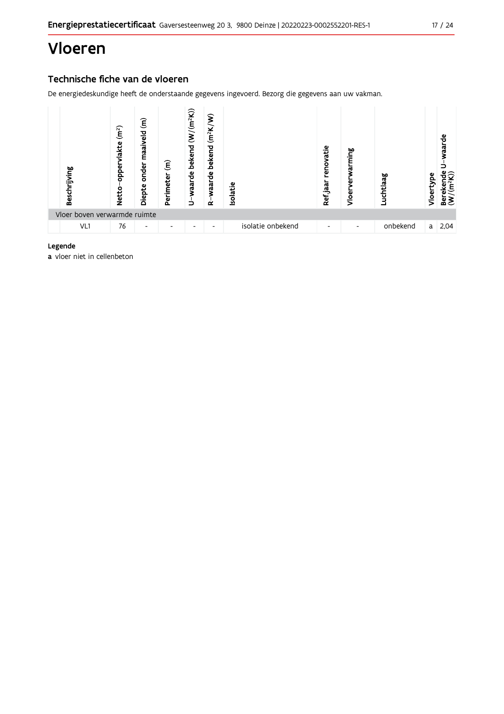# Vloeren

# Technische fiche van de vloeren

De energiedeskundige heeft de onderstaande gegevens ingevoerd. Bezorg die gegevens aan uw vakman.



### Legende

a vloer niet in cellenbeton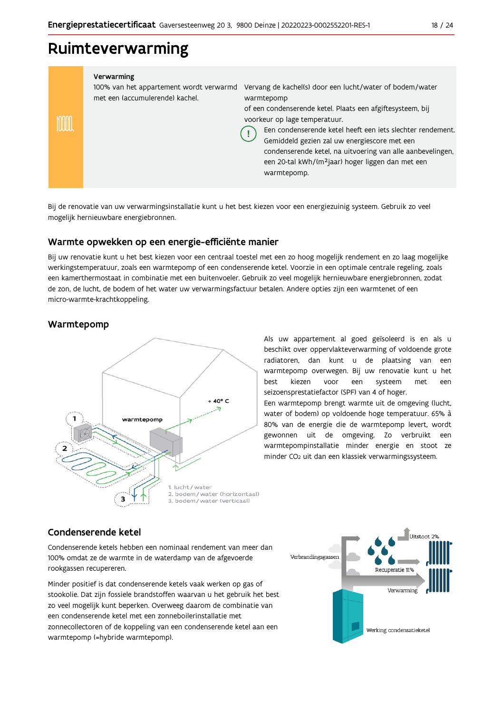# Ruimteverwarming

#### Verwarming

100% van het appartement wordt verwarmd Vervang de kachel(s) door een lucht/water of bodem/water met een (accumulerende) kachel. warmtepomp

Ţ

of een condenserende ketel. Plaats een afgiftesysteem, bij voorkeur op lage temperatuur.

mm

Een condenserende ketel heeft een iets slechter rendement. Gemiddeld gezien zal uw energiescore met een condenserende ketel, na uitvoering van alle aanbevelingen, een 20-tal kWh/(m<sup>2</sup>jaar) hoger liggen dan met een warmtepomp.

Bij de renovatie van uw verwarmingsinstallatie kunt u het best kiezen voor een energiezuinig systeem. Gebruik zo veel mogelijk hernieuwbare energiebronnen.

# Warmte opwekken op een energie-efficiënte manier

Bij uw renovatie kunt u het best kiezen voor een centraal toestel met een zo hoog mogelijk rendement en zo laag mogelijke werkingstemperatuur, zoals een warmtepomp of een condenserende ketel. Voorzie in een optimale centrale regeling, zoals een kamerthermostaat in combinatie met een buitenvoeler. Gebruik zo veel mogelijk hernieuwbare energiebronnen, zodat de zon, de lucht, de bodem of het water uw verwarmingsfactuur betalen. Andere opties zijn een warmtenet of een micro-warmte-krachtkoppeling.

# Warmtepomp



Als uw appartement al goed geïsoleerd is en als u beschikt over oppervlakteverwarming of voldoende grote radiatoren, dan kunt u de plaatsing van een warmtepomp overwegen. Bij uw renovatie kunt u het hest kiezen voor een systeem met een seizoensprestatiefactor (SPF) van 4 of hoger.

Een warmtepomp brengt warmte uit de omgeving (lucht, water of bodem) op voldoende hoge temperatuur. 65% à 80% van de energie die de warmtepomp levert, wordt gewonnen uit de omgeving. Zo verbruikt een warmtepompinstallatie minder energie en stoot ze minder CO<sub>2</sub> uit dan een klassiek verwarmingssysteem.

### Condenserende ketel

Condenserende ketels hebben een nominaal rendement van meer dan 100% omdat ze de warmte in de waterdamp van de afgevoerde rookgassen recupereren.

Minder positief is dat condenserende ketels vaak werken op gas of stookolie. Dat zijn fossiele brandstoffen waarvan u het gebruik het best zo veel mogelijk kunt beperken. Overweeg daarom de combinatie van een condenserende ketel met een zonneboilerinstallatie met zonnecollectoren of de koppeling van een condenserende ketel aan een warmtepomp (=hybride warmtepomp).

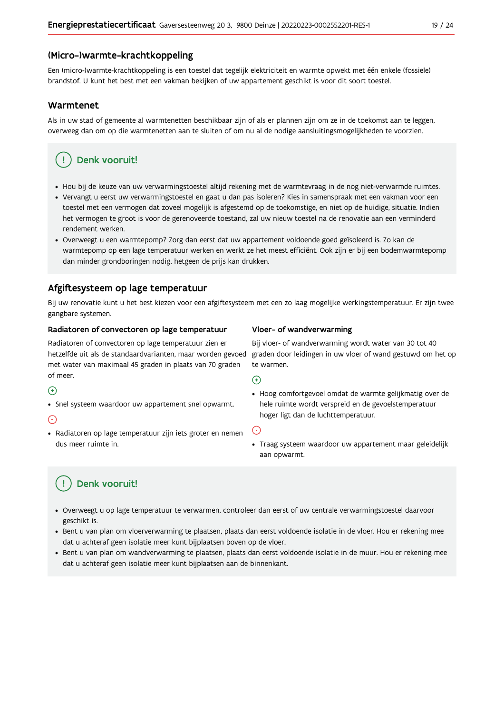### (Micro-)warmte-krachtkoppeling

Een (micro-)warmte-krachtkoppeling is een toestel dat tegelijk elektriciteit en warmte opwekt met één enkele (fossiele) brandstof. U kunt het best met een vakman bekijken of uw appartement geschikt is voor dit soort toestel.

### Warmtenet

Als in uw stad of gemeente al warmtenetten beschikbaar zijn of als er plannen zijn om ze in de toekomst aan te leggen, overweeg dan om op die warmtenetten aan te sluiten of om nu al de nodige aansluitingsmogelijkheden te voorzien.

# Denk vooruit!

- · Hou bij de keuze van uw verwarmingstoestel altijd rekening met de warmtevraag in de nog niet-verwarmde ruimtes.
- Vervangt u eerst uw verwarmingstoestel en gaat u dan pas isoleren? Kies in samenspraak met een vakman voor een toestel met een vermogen dat zoveel mogelijk is afgestemd op de toekomstige, en niet op de huidige, situatie. Indien het vermogen te groot is voor de gerenoveerde toestand, zal uw nieuw toestel na de renovatie aan een verminderd rendement werken.
- · Overweegt u een warmtepomp? Zorg dan eerst dat uw appartement voldoende goed geïsoleerd is. Zo kan de warmtepomp op een lage temperatuur werken en werkt ze het meest efficiënt. Ook zijn er bij een bodemwarmtepomp dan minder grondboringen nodig, hetgeen de prijs kan drukken.

# Afgiftesysteem op lage temperatuur

Bij uw renovatie kunt u het best kiezen voor een afgiftesysteem met een zo laag mogelijke werkingstemperatuur. Er zijn twee gangbare systemen.

### Radiatoren of convectoren op lage temperatuur

Radiatoren of convectoren op lage temperatuur zien er hetzelfde uit als de standaardvarianten, maar worden gevoed met water van maximaal 45 graden in plaats van 70 graden of meer.

### $\bigoplus$

• Snel systeem waardoor uw appartement snel opwarmt.

### $\bigodot$

· Radiatoren op lage temperatuur zijn iets groter en nemen dus meer ruimte in.

### Vloer- of wandverwarming

Bij vloer- of wandverwarming wordt water van 30 tot 40 graden door leidingen in uw vloer of wand gestuwd om het op te warmen.

#### $\bigoplus$

· Hoog comfortgevoel omdat de warmte gelijkmatig over de hele ruimte wordt verspreid en de gevoelstemperatuur hoger ligt dan de luchttemperatuur.

#### ∈

· Traag systeem waardoor uw appartement maar geleidelijk aan opwarmt.

# Denk vooruit!

- · Overweegt u op lage temperatuur te verwarmen, controleer dan eerst of uw centrale verwarmingstoestel daarvoor geschikt is.
- · Bent u van plan om vloerverwarming te plaatsen, plaats dan eerst voldoende isolatie in de vloer. Hou er rekening mee dat u achteraf geen isolatie meer kunt bijplaatsen boven op de vloer.
- · Bent u van plan om wandverwarming te plaatsen, plaats dan eerst voldoende isolatie in de muur. Hou er rekening mee dat u achteraf geen isolatie meer kunt bijplaatsen aan de binnenkant.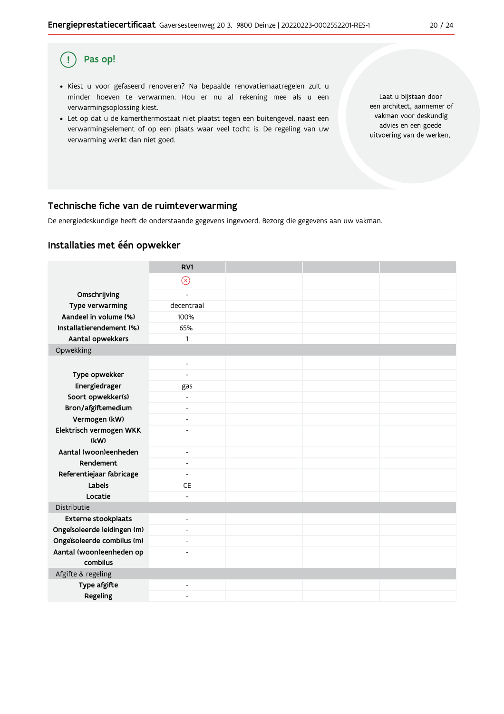#### Pas op! (!)

- · Kiest u voor gefaseerd renoveren? Na bepaalde renovatiemaatregelen zult u minder hoeven te verwarmen. Hou er nu al rekening mee als u een verwarmingsoplossing kiest.
- . Let op dat u de kamerthermostaat niet plaatst tegen een buitengevel, naast een verwarmingselement of op een plaats waar veel tocht is. De regeling van uw verwarming werkt dan niet goed.

Laat u bijstaan door een architect, aannemer of vakman voor deskundig advies en een goede uitvoering van de werken.

# Technische fiche van de ruimteverwarming

De energiedeskundige heeft de onderstaande gegevens ingevoerd. Bezorg die gegevens aan uw vakman.

# Installaties met één opwekker

|                                      | RV1                      |  |  |
|--------------------------------------|--------------------------|--|--|
|                                      | $\odot$                  |  |  |
| Omschrijving                         | ÷,                       |  |  |
| Type verwarming                      | decentraal               |  |  |
| Aandeel in volume (%)                | 100%                     |  |  |
| Installatierendement (%)             | 65%                      |  |  |
| Aantal opwekkers                     | $\mathbf{1}$             |  |  |
| Opwekking                            |                          |  |  |
|                                      | $\overline{\phantom{a}}$ |  |  |
| Type opwekker                        | ٠                        |  |  |
| Energiedrager                        | gas                      |  |  |
| Soort opwekker(s)                    | $\overline{\phantom{0}}$ |  |  |
| Bron/afgiftemedium                   | $\overline{\phantom{0}}$ |  |  |
| Vermogen (kW)                        | ٠                        |  |  |
| Elektrisch vermogen WKK              | $\overline{a}$           |  |  |
| (kW)                                 |                          |  |  |
| Aantal (woon)eenheden                | $\overline{\phantom{a}}$ |  |  |
| Rendement                            | ٠                        |  |  |
| Referentiejaar fabricage             | ٠                        |  |  |
| Labels                               | <b>CE</b>                |  |  |
| Locatie                              | $\overline{a}$           |  |  |
| Distributie                          |                          |  |  |
| <b>Externe stookplaats</b>           | $\overline{\phantom{0}}$ |  |  |
| Ongeïsoleerde leidingen (m)          | $\overline{\phantom{a}}$ |  |  |
| Ongeïsoleerde combilus (m)           | $\overline{\phantom{a}}$ |  |  |
| Aantal (woon)eenheden op<br>combilus | ٠                        |  |  |
| Afgifte & regeling                   |                          |  |  |
| Type afgifte                         | $\overline{a}$           |  |  |
| Regeling                             | $\overline{a}$           |  |  |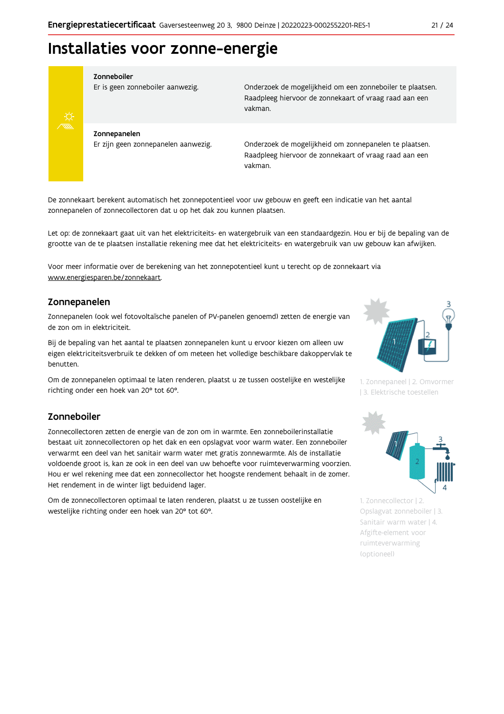# Installaties voor zonne-energie



#### Zonneboiler

Er is geen zonneboiler aanwezig.

Onderzoek de mogelijkheid om een zonneboiler te plaatsen. Raadpleeg hiervoor de zonnekaart of vraag raad aan een vakman.

Zonnepanelen Er zijn geen zonnepanelen aanwezig.

Onderzoek de mogelijkheid om zonnepanelen te plaatsen. Raadpleeg hiervoor de zonnekaart of vraag raad aan een vakman.

De zonnekaart berekent automatisch het zonnepotentieel voor uw gebouw en geeft een indicatie van het aantal zonnepanelen of zonnecollectoren dat u op het dak zou kunnen plaatsen.

Let op: de zonnekaart gaat uit van het elektriciteits- en watergebruik van een standaardgezin. Hou er bij de bepaling van de grootte van de te plaatsen installatie rekening mee dat het elektriciteits- en watergebruik van uw gebouw kan afwijken.

Voor meer informatie over de berekening van het zonnepotentieel kunt u terecht op de zonnekaart via www.energiesparen.be/zonnekaart.

### Zonnepanelen

Zonnepanelen (ook wel fotovoltaïsche panelen of PV-panelen genoemd) zetten de energie van de zon om in elektriciteit.

Bij de bepaling van het aantal te plaatsen zonnepanelen kunt u ervoor kiezen om alleen uw eigen elektriciteitsverbruik te dekken of om meteen het volledige beschikbare dakoppervlak te benutten.

Om de zonnepanelen optimaal te laten renderen, plaatst u ze tussen oostelijke en westelijke richting onder een hoek van 20° tot 60°.

### Zonneboiler

Zonnecollectoren zetten de energie van de zon om in warmte. Een zonneboilerinstallatie bestaat uit zonnecollectoren op het dak en een opslagvat voor warm water. Een zonneboiler verwarmt een deel van het sanitair warm water met gratis zonnewarmte. Als de installatie voldoende groot is, kan ze ook in een deel van uw behoefte voor ruimteverwarming voorzien. Hou er wel rekening mee dat een zonnecollector het hoogste rendement behaalt in de zomer. Het rendement in de winter ligt beduidend lager.

Om de zonnecollectoren optimaal te laten renderen, plaatst u ze tussen oostelijke en westelijke richting onder een hoek van 20° tot 60°.



1. Zonnepaneel | 2. Omvormer | 3. Elektrische toestellen



1. Zonnecollector | 2. Opslagvat zonneboiler | 3. Sanitair warm water | 4. Afgifte-element voor ruimteverwarming (optioneel)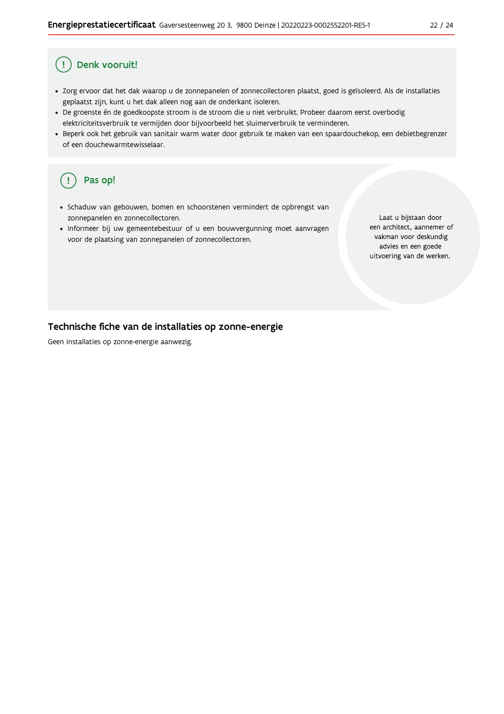#### Ţ Denk vooruit!

- · Zorg ervoor dat het dak waarop u de zonnepanelen of zonnecollectoren plaatst, goed is geïsoleerd. Als de installaties geplaatst zijn, kunt u het dak alleen nog aan de onderkant isoleren.
- · De groenste én de goedkoopste stroom is de stroom die u niet verbruikt. Probeer daarom eerst overbodig elektriciteitsverbruik te vermijden door bijvoorbeeld het sluimerverbruik te verminderen.
- · Beperk ook het gebruik van sanitair warm water door gebruik te maken van een spaardouchekop, een debietbegrenzer of een douchewarmtewisselaar.

#### Pas op! ( !

- · Schaduw van gebouwen, bomen en schoorstenen vermindert de opbrengst van zonnepanelen en zonnecollectoren.
- Informeer bij uw gemeentebestuur of u een bouwvergunning moet aanvragen voor de plaatsing van zonnepanelen of zonnecollectoren.

Laat u bijstaan door een architect, aannemer of vakman voor deskundig advies en een goede uitvoering van de werken.

### Technische fiche van de installaties op zonne-energie

Geen installaties op zonne-energie aanwezig.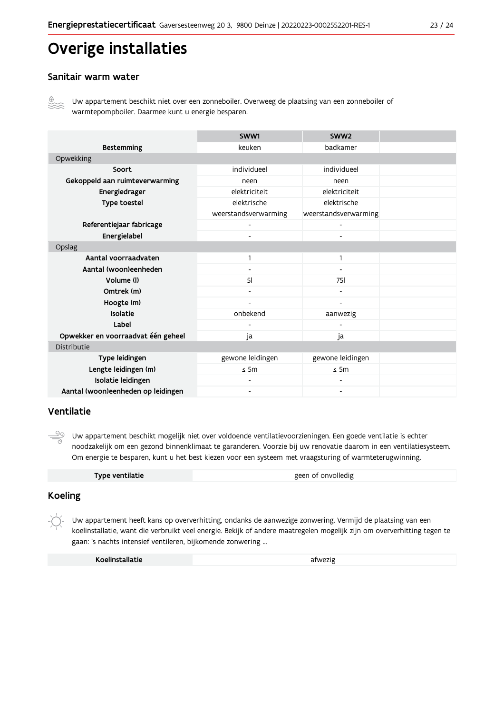# Overige installaties

# Sanitair warm water



Uw appartement beschikt niet over een zonneboiler. Overweeg de plaatsing van een zonneboiler of warmtepompboiler. Daarmee kunt u energie besparen.

|                                    | SWW1                         | SWW <sub>2</sub>         |  |
|------------------------------------|------------------------------|--------------------------|--|
| <b>Bestemming</b>                  | keuken                       | badkamer                 |  |
| Opwekking                          |                              |                          |  |
| Soort                              | individueel                  | individueel              |  |
| Gekoppeld aan ruimteverwarming     | neen                         | neen                     |  |
| Energiedrager                      | elektriciteit                | elektriciteit            |  |
| Type toestel                       | elektrische                  | elektrische              |  |
|                                    | weerstandsverwarming         | weerstandsverwarming     |  |
| Referentiejaar fabricage           |                              | -                        |  |
| Energielabel                       |                              |                          |  |
| Opslag                             |                              |                          |  |
| Aantal voorraadvaten               | 1                            | 1                        |  |
| Aantal (woon)eenheden              | $\qquad \qquad \blacksquare$ | $\overline{\phantom{a}}$ |  |
| Volume (I)                         | 5 <sup>1</sup>               | <b>75I</b>               |  |
| Omtrek (m)                         |                              |                          |  |
| Hoogte (m)                         |                              |                          |  |
| Isolatie                           | onbekend                     | aanwezig                 |  |
| Label                              |                              |                          |  |
| Opwekker en voorraadvat één geheel | ja                           | ja                       |  |
| Distributie                        |                              |                          |  |
| Type leidingen                     | gewone leidingen             | gewone leidingen         |  |
| Lengte leidingen (m)               | $\leq$ 5m                    | $\leq$ 5m                |  |
| Isolatie leidingen                 |                              | ٠                        |  |
| Aantal (woon)eenheden op leidingen | -                            | -                        |  |

### Ventilatie

 $\frac{\circledcirc}{\circ}$ Uw appartement beschikt mogelijk niet over voldoende ventilatievoorzieningen. Een goede ventilatie is echter noodzakelijk om een gezond binnenklimaat te garanderen. Voorzie bij uw renovatie daarom in een ventilatiesysteem. Om energie te besparen, kunt u het best kiezen voor een systeem met vraagsturing of warmteterugwinning.

# **Koeling**

Uw appartement heeft kans op oververhitting, ondanks de aanwezige zonwering. Vermijd de plaatsing van een koelinstallatie, want die verbruikt veel energie. Bekijk of andere maatregelen mogelijk zijn om oververhitting tegen te gaan: 's nachts intensief ventileren, bijkomende zonwering ...

| Koelinstallatie | afwezig |
|-----------------|---------|
|-----------------|---------|